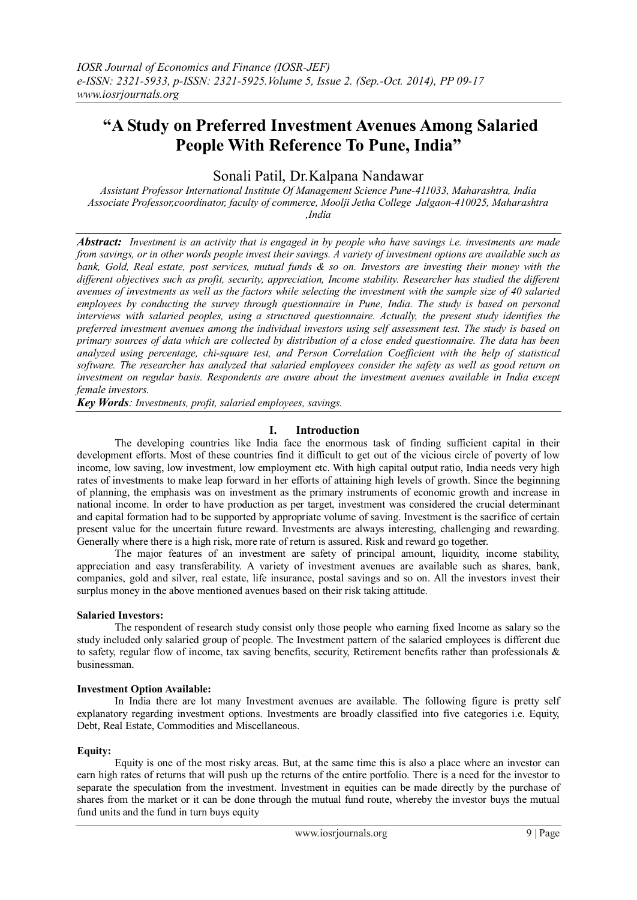## **"A Study on Preferred Investment Avenues Among Salaried People With Reference To Pune, India"**

Sonali Patil, Dr.Kalpana Nandawar

*Assistant Professor International Institute Of Management Science Pune-411033, Maharashtra, India Associate Professor,coordinator, faculty of commerce, Moolji Jetha College Jalgaon-410025, Maharashtra ,India*

**Abstract:** Investment is an activity that is engaged in by people who have savings i.e. investments are made from savings, or in other words people invest their savings. A variety of investment options are available such as bank, Gold, Real estate, post services, mutual funds  $\&$  so on. Investors are investing their money with the *different objectives such as profit, security, appreciation, Income stability. Researcher has studied the different* avenues of investments as well as the factors while selecting the investment with the sample size of 40 salaried *employees by conducting the survey through questionnaire in Pune, India. The study is based on personal interviews with salaried peoples, using a structured questionnaire. Actually, the present study identifies the preferred investment avenues among the individual investors using self assessment test. The study is based on* primary sources of data which are collected by distribution of a close ended questionnaire. The data has been *analyzed using percentage, chi-square test, and Person Correlation Coefficient with the help of statistical* software. The researcher has analyzed that salaried employees consider the safety as well as good return on *investment on regular basis. Respondents are aware about the investment avenues available in India except female investors.*

*Key Words: Investments, profit, salaried employees, savings.*

## **I. Introduction**

The developing countries like India face the enormous task of finding sufficient capital in their development efforts. Most of these countries find it difficult to get out of the vicious circle of poverty of low income, low saving, low investment, low employment etc. With high capital output ratio, India needs very high rates of investments to make leap forward in her efforts of attaining high levels of growth. Since the beginning of planning, the emphasis was on investment as the primary instruments of economic growth and increase in national income. In order to have production as per target, investment was considered the crucial determinant and capital formation had to be supported by appropriate volume of saving. Investment is the sacrifice of certain present value for the uncertain future reward. Investments are always interesting, challenging and rewarding. Generally where there is a high risk, more rate of return is assured. Risk and reward go together.

The major features of an investment are safety of principal amount, liquidity, income stability, appreciation and easy transferability. A variety of investment avenues are available such as shares, bank, companies, gold and silver, real estate, life insurance, postal savings and so on. All the investors invest their surplus money in the above mentioned avenues based on their risk taking attitude.

## **Salaried Investors:**

The respondent of research study consist only those people who earning fixed Income as salary so the study included only salaried group of people. The Investment pattern of the salaried employees is different due to safety, regular flow of income, tax saving benefits, security, Retirement benefits rather than professionals & businessman.

## **Investment Option Available:**

In India there are lot many Investment avenues are available. The following figure is pretty self explanatory regarding investment options. Investments are broadly classified into five categories i.e. Equity, Debt, Real Estate, Commodities and Miscellaneous.

## **Equity:**

Equity is one of the most risky areas. But, at the same time this is also a place where an investor can earn high rates of returns that will push up the returns of the entire portfolio. There is a need for the investor to separate the speculation from the investment. Investment in equities can be made directly by the purchase of shares from the market or it can be done through the mutual fund route, whereby the investor buys the mutual fund units and the fund in turn buys equity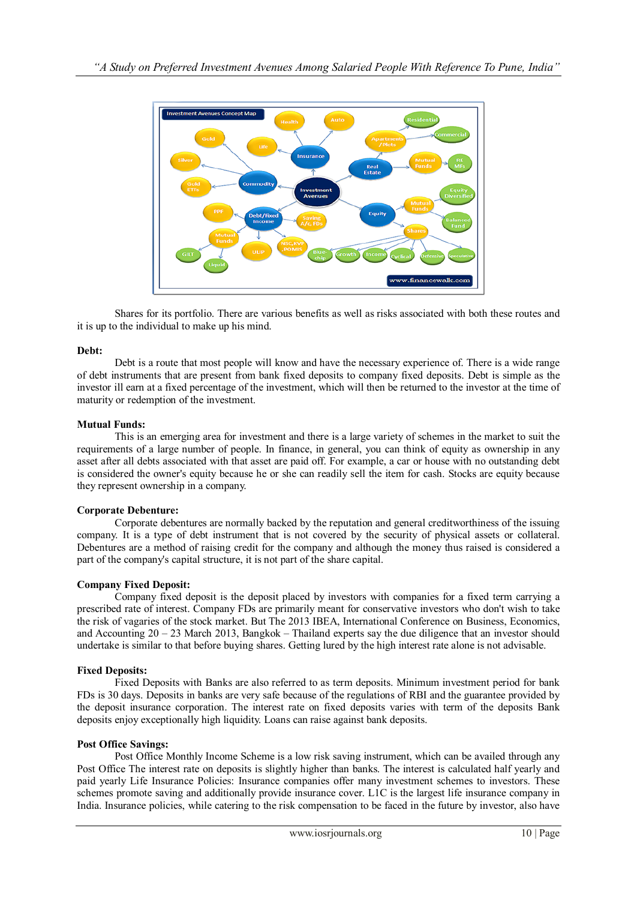

Shares for its portfolio. There are various benefits as well as risks associated with both these routes and it is up to the individual to make up his mind.

#### **Debt:**

Debt is a route that most people will know and have the necessary experience of. There is a wide range of debt instruments that are present from bank fixed deposits to company fixed deposits. Debt is simple as the investor ill earn at a fixed percentage of the investment, which will then be returned to the investor at the time of maturity or redemption of the investment.

#### **Mutual Funds:**

This is an emerging area for investment and there is a large variety of schemes in the market to suit the requirements of a large number of people. In finance, in general, you can think of equity as ownership in any asset after all debts associated with that asset are paid off. For example, a car or house with no outstanding debt is considered the owner's equity because he or she can readily sell the item for cash. Stocks are equity because they represent ownership in a company.

#### **Corporate Debenture:**

Corporate debentures are normally backed by the reputation and general creditworthiness of the issuing company. It is a type of debt instrument that is not covered by the security of physical assets or collateral. Debentures are a method of raising credit for the company and although the money thus raised is considered a part of the company's capital structure, it is not part of the share capital.

## **Company Fixed Deposit:**

Company fixed deposit is the deposit placed by investors with companies for a fixed term carrying a prescribed rate of interest. Company FDs are primarily meant for conservative investors who don't wish to take the risk of vagaries of the stock market. But The 2013 IBEA, International Conference on Business, Economics, and Accounting  $20 - 23$  March 2013, Bangkok – Thailand experts say the due diligence that an investor should undertake is similar to that before buying shares. Getting lured by the high interest rate alone is not advisable.

## **Fixed Deposits:**

Fixed Deposits with Banks are also referred to as term deposits. Minimum investment period for bank FDs is 30 days. Deposits in banks are very safe because of the regulations of RBI and the guarantee provided by the deposit insurance corporation. The interest rate on fixed deposits varies with term of the deposits Bank deposits enjoy exceptionally high liquidity. Loans can raise against bank deposits.

#### **Post Office Savings:**

Post Office Monthly Income Scheme is a low risk saving instrument, which can be availed through any Post Office The interest rate on deposits is slightly higher than banks. The interest is calculated half yearly and paid yearly Life Insurance Policies: Insurance companies offer many investment schemes to investors. These schemes promote saving and additionally provide insurance cover. L1C is the largest life insurance company in India. Insurance policies, while catering to the risk compensation to be faced in the future by investor, also have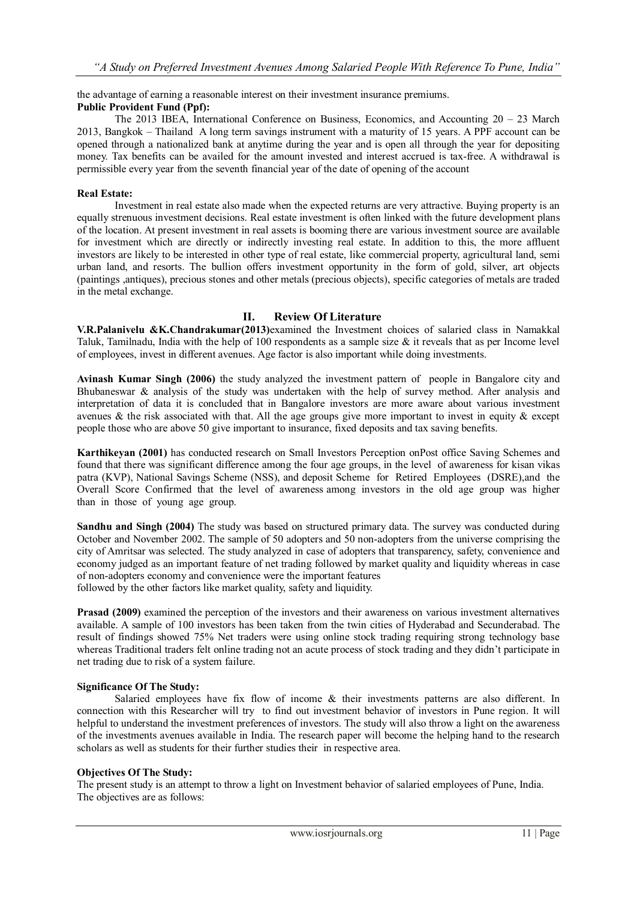## the advantage of earning a reasonable interest on their investment insurance premiums.

### **Public Provident Fund (Ppf):**

The 2013 IBEA, International Conference on Business, Economics, and Accounting  $20 - 23$  March 2013, Bangkok – Thailand A long term savings instrument with a maturity of 15 years. A PPF account can be opened through a nationalized bank at anytime during the year and is open all through the year for depositing money. Tax benefits can be availed for the amount invested and interest accrued is tax-free. A withdrawal is permissible every year from the seventh financial year of the date of opening of the account

#### **Real Estate:**

Investment in real estate also made when the expected returns are very attractive. Buying property is an equally strenuous investment decisions. Real estate investment is often linked with the future development plans of the location. At present investment in real assets is booming there are various investment source are available for investment which are directly or indirectly investing real estate. In addition to this, the more affluent investors are likely to be interested in other type of real estate, like commercial property, agricultural land, semi urban land, and resorts. The bullion offers investment opportunity in the form of gold, silver, art objects (paintings ,antiques), precious stones and other metals (precious objects), specific categories of metals are traded in the metal exchange.

## **II. Review Of Literature**

**V.R.Palanivelu &K.Chandrakumar(2013)**examined the Investment choices of salaried class in Namakkal Taluk, Tamilnadu, India with the help of 100 respondents as a sample size & it reveals that as per Income level of employees, invest in different avenues. Age factor is also important while doing investments.

**Avinash Kumar Singh (2006)** the study analyzed the investment pattern of people in Bangalore city and Bhubaneswar & analysis of the study was undertaken with the help of survey method. After analysis and interpretation of data it is concluded that in Bangalore investors are more aware about various investment avenues  $\&$  the risk associated with that. All the age groups give more important to invest in equity  $\&$  except people those who are above 50 give important to insurance, fixed deposits and tax saving benefits.

**Karthikeyan (2001)** has conducted research on Small Investors Perception onPost office Saving Schemes and found that there was significant difference among the four age groups, in the level of awareness for kisan vikas patra (KVP), National Savings Scheme (NSS), and deposit Scheme for Retired Employees (DSRE),and the Overall Score Confirmed that the level of awareness among investors in the old age group was higher than in those of young age group.

**Sandhu and Singh (2004)** The study was based on structured primary data. The survey was conducted during October and November 2002. The sample of 50 adopters and 50 non-adopters from the universe comprising the city of Amritsar was selected. The study analyzed in case of adopters that transparency, safety, convenience and economy judged as an important feature of net trading followed by market quality and liquidity whereas in case of non-adopters economy and convenience were the important features followed by the other factors like market quality, safety and liquidity.

**Prasad (2009)** examined the perception of the investors and their awareness on various investment alternatives available. A sample of 100 investors has been taken from the twin cities of Hyderabad and Secunderabad. The result of findings showed 75% Net traders were using online stock trading requiring strong technology base whereas Traditional traders felt online trading not an acute process of stock trading and they didn't participate in net trading due to risk of a system failure.

#### **Significance Of The Study:**

Salaried employees have fix flow of income & their investments patterns are also different. In connection with this Researcher will try to find out investment behavior of investors in Pune region. It will helpful to understand the investment preferences of investors. The study will also throw a light on the awareness of the investments avenues available in India. The research paper will become the helping hand to the research scholars as well as students for their further studies their in respective area.

#### **Objectives Of The Study:**

The present study is an attempt to throw a light on Investment behavior of salaried employees of Pune, India. The objectives are as follows: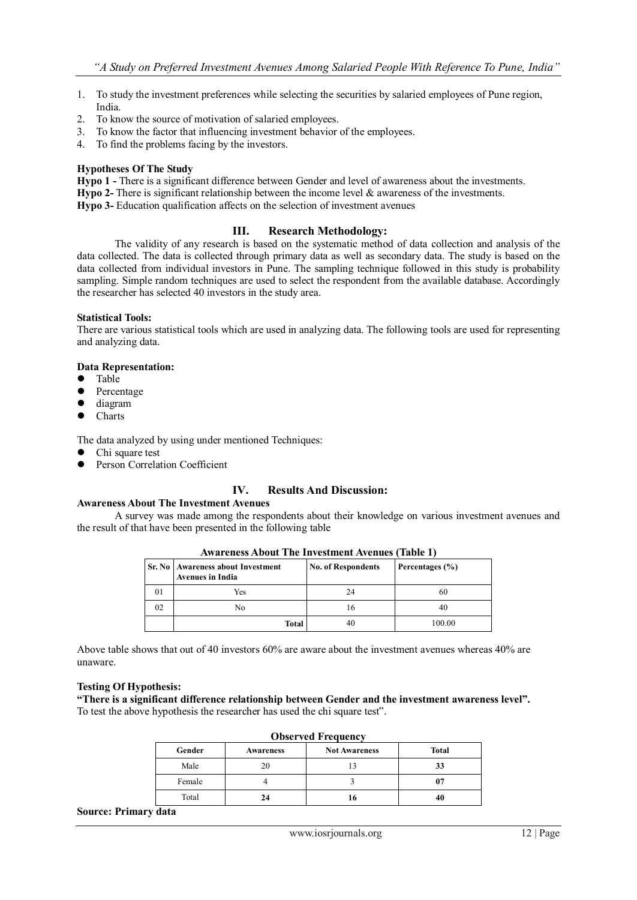- 1. To study the investment preferences while selecting the securities by salaried employees of Pune region, India.
- 2. To know the source of motivation of salaried employees.
- 3. To know the factor that influencing investment behavior of the employees.
- 4. To find the problems facing by the investors.

#### **Hypotheses Of The Study**

**Hypo 1 -** There is a significant difference between Gender and level of awareness about the investments. **Hypo 2-** There is significant relationship between the income level & awareness of the investments.

**Hypo 3-** Education qualification affects on the selection of investment avenues

## **III. Research Methodology:**

The validity of any research is based on the systematic method of data collection and analysis of the data collected. The data is collected through primary data as well as secondary data. The study is based on the data collected from individual investors in Pune. The sampling technique followed in this study is probability sampling. Simple random techniques are used to select the respondent from the available database. Accordingly the researcher has selected 40 investors in the study area.

#### **Statistical Tools:**

There are various statistical tools which are used in analyzing data. The following tools are used for representing and analyzing data.

# **Data Representation:**

- Table
- Percentage
- $\bullet$  diagram
- Charts

The data analyzed by using under mentioned Techniques:

- Chi square test
- Person Correlation Coefficient

## **IV. Results And Discussion:**

#### **Awareness About The Investment Avenues**

A survey was made among the respondents about their knowledge on various investment avenues and the result of that have been presented in the following table

|    | Twarthess trout The Investment Inventes (Table T)              |                           |                 |  |  |
|----|----------------------------------------------------------------|---------------------------|-----------------|--|--|
|    | Sr. No   Awareness about Investment<br><b>Avenues in India</b> | <b>No. of Respondents</b> | Percentages (%) |  |  |
| 01 | Yes                                                            | 24                        | 60              |  |  |
| 02 | No                                                             | 16                        | 40              |  |  |
|    | <b>Total</b>                                                   | 40                        | 100.00          |  |  |

**Awareness About The Investment Avenues (Table 1)**

Above table shows that out of 40 investors 60% are aware about the investment avenues whereas 40% are unaware.

#### **Testing Of Hypothesis:**

**"There is a significant difference relationship between Gender and the investment awareness level".** To test the above hypothesis the researcher has used the chi square test".

| <b>Observed Frequency</b> |                  |                      |              |
|---------------------------|------------------|----------------------|--------------|
| Gender                    | <b>Awareness</b> | <b>Not Awareness</b> | <b>Total</b> |
| Male                      | 20               |                      | 33           |
| Female                    |                  |                      | 07           |
| Total                     | 24               | 16                   | 40           |

#### **Source: Primary data**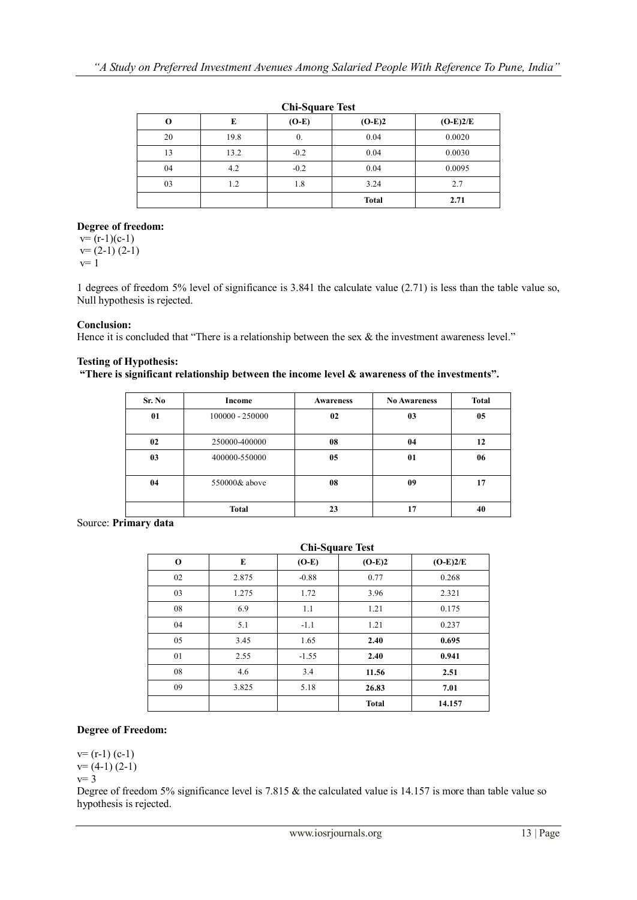| <b>Chi-Square Test</b> |      |                  |              |            |
|------------------------|------|------------------|--------------|------------|
| O                      | E    | $(O-E)$          | $(O-E)2$     | $(O-E)2/E$ |
| 20                     | 19.8 | $\overline{0}$ . | 0.04         | 0.0020     |
| 13                     | 13.2 | $-0.2$           | 0.04         | 0.0030     |
| 04                     | 4.2  | $-0.2$           | 0.04         | 0.0095     |
| 03                     | 1.2  | 1.8              | 3.24         | 2.7        |
|                        |      |                  | <b>Total</b> | 2.71       |

## **Chi-Square Test**

## **Degree of freedom:**

 $v=(r-1)(c-1)$  $v=(2-1)(2-1)$  $v=1$ 

1 degrees of freedom 5% level of significance is 3.841 the calculate value (2.71) is less than the table value so, Null hypothesis is rejected.

## **Conclusion:**

Hence it is concluded that "There is a relationship between the sex  $\&$  the investment awareness level."

## **Testing of Hypothesis:**

**"There is significant relationship between the income level & awareness of the investments".**

| Sr. No | Income            | <b>Awareness</b> | <b>No Awareness</b> | <b>Total</b> |
|--------|-------------------|------------------|---------------------|--------------|
| 01     | $100000 - 250000$ | 02               | 0 <sub>3</sub>      | 05           |
| 02     | 250000-400000     | 08               | 04                  | 12           |
| 03     | 400000-550000     | 05               | 01                  | 06           |
| 04     | 550000& above     | 08               | 09                  | 17           |
|        | <b>Total</b>      | 23               | 17                  | 40           |

Source: **Primary data**

| <b>Chi-Square Test</b> |       |         |              |            |
|------------------------|-------|---------|--------------|------------|
| $\bf{0}$               | E     | $(O-E)$ | $(O-E)2$     | $(O-E)2/E$ |
| 02                     | 2.875 | $-0.88$ | 0.77         | 0.268      |
| 03                     | 1.275 | 1.72    | 3.96         | 2.321      |
| 08                     | 6.9   | 1.1     | 1.21         | 0.175      |
| 04                     | 5.1   | $-1.1$  | 1.21         | 0.237      |
| 05                     | 3.45  | 1.65    | 2.40         | 0.695      |
| 01                     | 2.55  | $-1.55$ | 2.40         | 0.941      |
| 08                     | 4.6   | 3.4     | 11.56        | 2.51       |
| 09                     | 3.825 | 5.18    | 26.83        | 7.01       |
|                        |       |         | <b>Total</b> | 14.157     |

## **Degree of Freedom:**

 $v=(r-1)(c-1)$  $v=(4-1)(2-1)$  $v=3$ 

Degree of freedom 5% significance level is 7.815 & the calculated value is 14.157 is more than table value so hypothesis is rejected.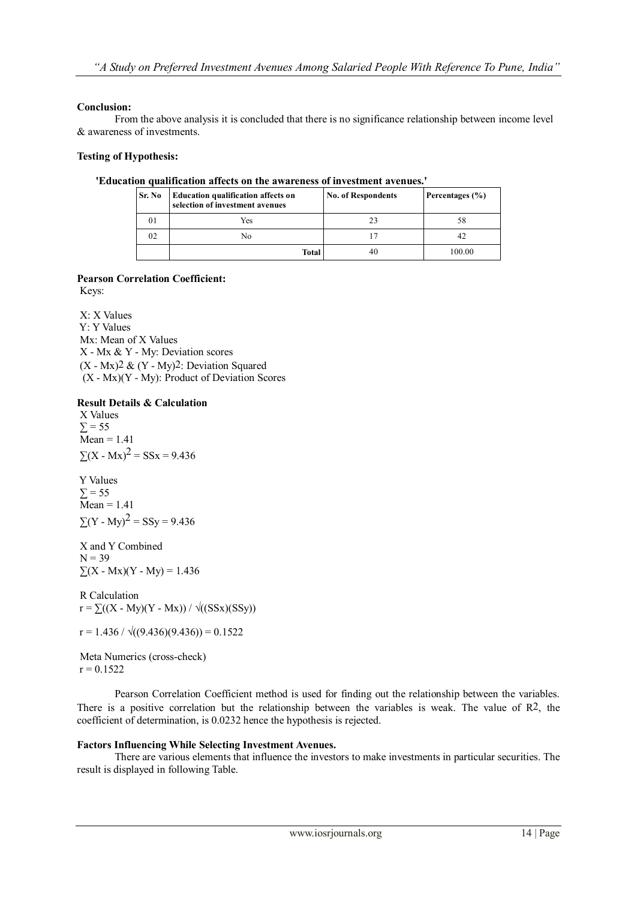## **Conclusion:**

From the above analysis it is concluded that there is no significance relationship between income level & awareness of investments.

## **Testing of Hypothesis:**

### **'Education qualification affects on the awareness of investment avenues.'**

| Sr. No | <b>Education qualification affects on</b><br>selection of investment avenues | <b>No. of Respondents</b> | Percentages (%) |
|--------|------------------------------------------------------------------------------|---------------------------|-----------------|
| 01     | Yes                                                                          |                           | 58              |
| 02     | No                                                                           |                           | 42              |
|        | Total                                                                        | 40                        | 100.00          |

## **Pearson Correlation Coefficient:**

Keys:

X: X Values Y: Y Values Mx: Mean of X Values X - Mx & Y - My: Deviation scores  $(X - Mx)$ <sup>2</sup> &  $(Y - My)$ <sup>2</sup>: Deviation Squared  $(X - Mx)(Y - My)$ : Product of Deviation Scores

## **Result Details & Calculation**

X Values  $\Sigma = 55$  $\overline{\text{Mean}} = 1.41$  $\Sigma(X - Mx)^2 = S S x = 9.436$ 

Y Values  $\Sigma$  = 55  $\overline{\text{Mean}} = 1.41$  $\sum (Y - My)^2 = SSy = 9.436$ 

X and Y Combined  $N = 39$  $\sum (X - Mx)(Y - My) = 1.436$ 

R Calculation  $r = \sum((X - My)(Y - Mx)) / \sqrt{S(Sx)(SSy)}$ 

 $r = 1.436 / \sqrt{(9.436)(9.436)} = 0.1522$ 

Meta Numerics (cross-check)  $r = 0.1522$ 

Pearson Correlation Coefficient method is used for finding out the relationship between the variables. There is a positive correlation but the relationship between the variables is weak. The value of R2, the coefficient of determination, is 0.0232 hence the hypothesis is rejected.

## **Factors Influencing While Selecting Investment Avenues.**

There are various elements that influence the investors to make investments in particular securities. The result is displayed in following Table.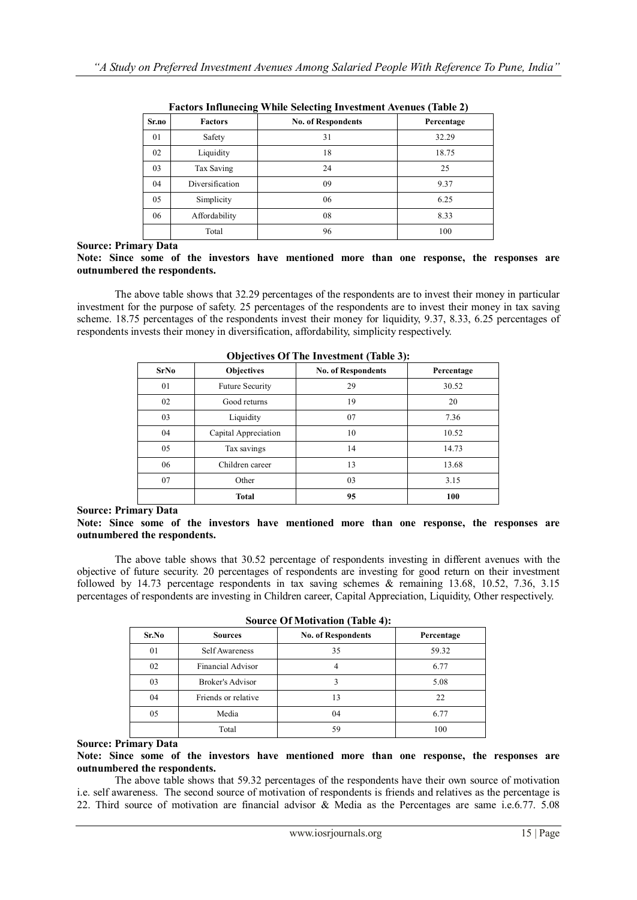| <b>Factors</b>  | <b>No. of Respondents</b> | Percentage |
|-----------------|---------------------------|------------|
| Safety          | 31                        | 32.29      |
| Liquidity       | 18                        | 18.75      |
| Tax Saving      | 24                        | 25         |
| Diversification | 09                        | 9.37       |
| Simplicity      | 06                        | 6.25       |
| Affordability   | 08                        | 8.33       |
| Total           | 96                        | 100        |
|                 |                           | $\ldots$   |

| <b>Factors Influnecing While Selecting Investment Avenues (Table 2)</b> |  |  |
|-------------------------------------------------------------------------|--|--|
|                                                                         |  |  |

**Source: Primary Data**

#### **Note: Since some of the investors have mentioned more than one response, the responses are outnumbered the respondents.**

The above table shows that 32.29 percentages of the respondents are to invest their money in particular investment for the purpose of safety. 25 percentages of the respondents are to invest their money in tax saving scheme. 18.75 percentages of the respondents invest their money for liquidity, 9.37, 8.33, 6.25 percentages of respondents invests their money in diversification, affordability, simplicity respectively.

|             |                        | $-$ , $\cdot$             |            |
|-------------|------------------------|---------------------------|------------|
| <b>SrNo</b> | <b>Objectives</b>      | <b>No. of Respondents</b> | Percentage |
| 01          | <b>Future Security</b> | 29                        | 30.52      |
| 02          | Good returns           | 19                        | 20         |
| 03          | Liquidity              | 07                        | 7.36       |
| 04          | Capital Appreciation   | 10                        | 10.52      |
| 05          | Tax savings            | 14                        | 14.73      |
| 06          | Children career        | 13                        | 13.68      |
| 07          | Other                  | 03                        | 3.15       |
|             | <b>Total</b>           | 95                        | 100        |

**Objectives Of The Investment (Table 3):**

## **Source: Primary Data**

#### **Note: Since some of the investors have mentioned more than one response, the responses are outnumbered the respondents.**

The above table shows that 30.52 percentage of respondents investing in different avenues with the objective of future security. 20 percentages of respondents are investing for good return on their investment followed by 14.73 percentage respondents in tax saving schemes & remaining 13.68, 10.52, 7.36, 3.15 percentages of respondents are investing in Children career, Capital Appreciation, Liquidity, Other respectively.

| <b>Sources</b>          | <b>No. of Respondents</b> | Percentage |  |  |
|-------------------------|---------------------------|------------|--|--|
| Self Awareness          | 35                        | 59.32      |  |  |
| Financial Advisor       | 4                         | 6.77       |  |  |
| <b>Broker's Advisor</b> |                           | 5.08       |  |  |
| Friends or relative     | 13                        | 22         |  |  |
| Media                   | 04                        | 6.77       |  |  |
| Total                   | 59                        | 100        |  |  |
|                         |                           |            |  |  |

| <b>Source Of Motivation (Table 4):</b> |  |
|----------------------------------------|--|
|                                        |  |

## **Source: Primary Data**

**Note: Since some of the investors have mentioned more than one response, the responses are outnumbered the respondents.**

The above table shows that 59.32 percentages of the respondents have their own source of motivation i.e. self awareness. The second source of motivation of respondents is friends and relatives as the percentage is 22. Third source of motivation are financial advisor & Media as the Percentages are same i.e.6.77. 5.08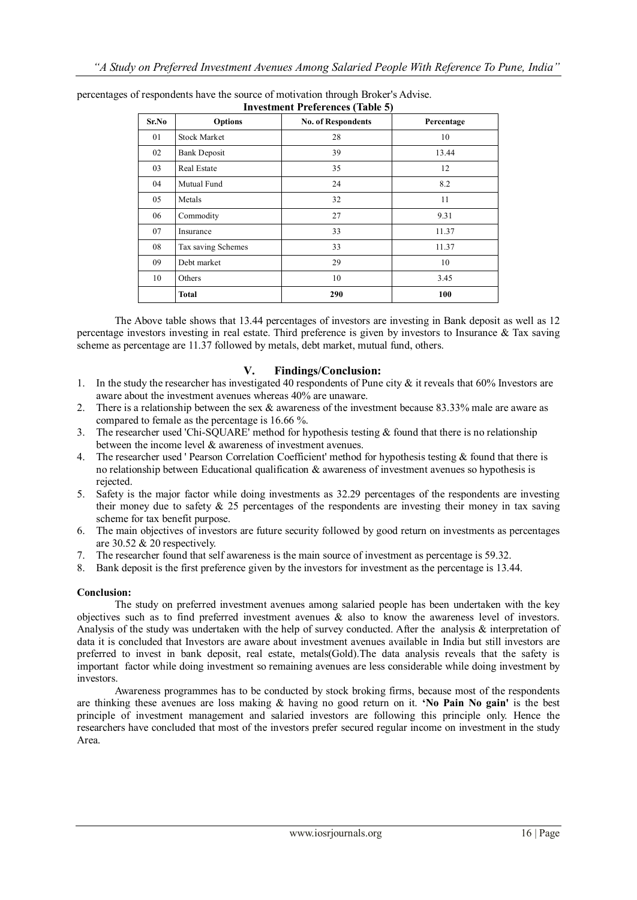| Investment Trefficitives (Table 3) |                     |                           |            |  |
|------------------------------------|---------------------|---------------------------|------------|--|
| Sr.No                              | <b>Options</b>      | <b>No. of Respondents</b> | Percentage |  |
| 01                                 | <b>Stock Market</b> | 28                        | 10         |  |
| 02                                 | <b>Bank Deposit</b> | 39                        | 13.44      |  |
| 03                                 | Real Estate         | 35                        | 12         |  |
| 04                                 | Mutual Fund         | 24                        | 8.2        |  |
| 05                                 | Metals              | 32                        | 11         |  |
| 06                                 | Commodity           | 27                        | 9.31       |  |
| 07                                 | Insurance           | 33                        | 11.37      |  |
| 08                                 | Tax saving Schemes  | 33                        | 11.37      |  |
| 09                                 | Debt market         | 29                        | 10         |  |
| 10                                 | Others              | 10                        | 3.45       |  |
|                                    | <b>Total</b>        | 290                       | 100        |  |

percentages of respondents have the source of motivation through Broker's Advise. **Investment Preferences (Table 5)**

The Above table shows that 13.44 percentages of investors are investing in Bank deposit as well as 12 percentage investors investing in real estate. Third preference is given by investors to Insurance & Tax saving scheme as percentage are 11.37 followed by metals, debt market, mutual fund, others.

#### **V. Findings/Conclusion:**

- 1. In the study the researcher has investigated 40 respondents of Pune city  $\&$  it reveals that 60% Investors are aware about the investment avenues whereas 40% are unaware.
- 2. There is a relationship between the sex & awareness of the investment because 83.33% male are aware as compared to female as the percentage is 16.66 %.
- 3. The researcher used 'Chi-SQUARE' method for hypothesis testing & found that there is no relationship between the income level & awareness of investment avenues.
- 4. The researcher used ' Pearson Correlation Coefficient' method for hypothesis testing & found that there is no relationship between Educational qualification & awareness of investment avenues so hypothesis is rejected.
- 5. Safety is the major factor while doing investments as 32.29 percentages of the respondents are investing their money due to safety  $\&$  25 percentages of the respondents are investing their money in tax saving scheme for tax benefit purpose.
- 6. The main objectives of investors are future security followed by good return on investments as percentages are 30.52 & 20 respectively.
- 7. The researcher found that [self awareness is the main source of investment as percentage is 59.32.](slot:)
- 8. Bank deposit is the first preference given by the investors for investment as the percentage is 13.44.

## **Conclusion:**

The study on preferred investment avenues among salaried people has been undertaken with the key objectives such as to find preferred investment avenues & also to know the awareness level of investors. Analysis of the study was undertaken with the help of survey conducted. After the analysis & interpretation of data it is concluded that Investors are aware about investment avenues available in India but still investors are preferred to invest in bank deposit, real estate, metals(Gold).The data analysis reveals that the safety is important factor while doing investment so remaining avenues are less considerable while doing investment by investors.

Awareness programmes has to be conducted by stock broking firms, because most of the respondents are thinking these avenues are loss making & having no good return on it. **"No Pain No gain'** is the best principle of investment management and salaried investors are following this principle only. Hence the researchers have concluded that most of the investors prefer secured regular income on investment in the study Area.